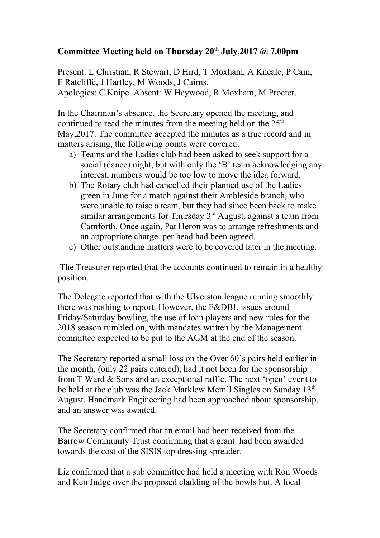## **Committee Meeting held on Thursday 20th July,2017 @ 7.00pm**

Present: L Christian, R Stewart, D Hird, T Moxham, A Kneale, P Cain, F Ratcliffe, J Hartley, M Woods, J Cairns. Apologies: C Knipe. Absent: W Heywood, R Moxham, M Procter.

In the Chairman's absence, the Secretary opened the meeting, and continued to read the minutes from the meeting held on the  $25<sup>th</sup>$ May,2017. The committee accepted the minutes as a true record and in matters arising, the following points were covered:

- a) Teams and the Ladies club had been asked to seek support for a social (dance) night, but with only the 'B' team acknowledging any interest, numbers would be too low to move the idea forward.
- b) The Rotary club had cancelled their planned use of the Ladies green in June for a match against their Ambleside branch, who were unable to raise a team, but they had since been back to make similar arrangements for Thursday  $3<sup>rd</sup>$  August, against a team from Carnforth. Once again, Pat Heron was to arrange refreshments and an appropriate charge per head had been agreed.
- c) Other outstanding matters were to be covered later in the meeting.

 The Treasurer reported that the accounts continued to remain in a healthy position.

The Delegate reported that with the Ulverston league running smoothly there was nothing to report. However, the F&DBL issues around Friday/Saturday bowling, the use of loan players and new rules for the 2018 season rumbled on, with mandates written by the Management committee expected to be put to the AGM at the end of the season.

The Secretary reported a small loss on the Over 60's pairs held earlier in the month, (only 22 pairs entered), had it not been for the sponsorship from T Ward & Sons and an exceptional raffle. The next 'open' event to be held at the club was the Jack Marklew Mem'l Singles on Sunday 13<sup>th</sup> August. Handmark Engineering had been approached about sponsorship, and an answer was awaited.

The Secretary confirmed that an email had been received from the Barrow Community Trust confirming that a grant had been awarded towards the cost of the SISIS top dressing spreader.

Liz confirmed that a sub committee had held a meeting with Ron Woods and Ken Judge over the proposed cladding of the bowls hut. A local